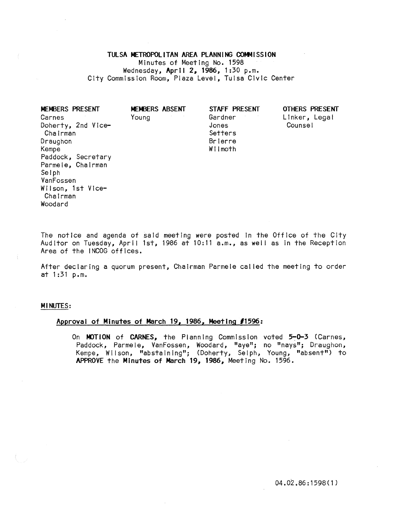TULSA METROPOLITAN AREA PLANNING COMMISSION MInutes of MeetIng No. 1598 Wednesday, April 2, 1986, 1:30 p.m. City Commission Room, Plaza Level, Tulsa Civic Center

| MEMBERS PRESENT    | MEMBERS ABSENT | STAFF PRESENT | <b>OTHERS PRESENT</b> |
|--------------------|----------------|---------------|-----------------------|
| Carnes             | Young          | Gardner       | Linker, Legal         |
| Doherty, 2nd Vice- |                | Jones         | Counsel               |
| Chairman           |                | Setters       |                       |
| Draughon           |                | Brierre       |                       |
| Kempe              |                | Wilmoth       |                       |
| Paddock, Secretary |                |               |                       |
| Parmele, Chairman  |                |               |                       |
| Selph              |                |               |                       |
| VanFossen          |                |               |                       |
| Wilson, 1st Vice-  |                |               |                       |
| Chairman           |                |               |                       |
| Woodard            |                |               |                       |

The notice and agenda of said meeting were posted In the Office of the City Auditor on Tuesday, April 1st, 1986 at 10:11 a.m., as well as in the Reception Area of the INCOG offices.

After declaring a quorum present, Chairman Parmele cal led the meeting to order at 1 :31 p.m.

## MINUTES:

# Approval of Minutes of March 19, 1986, Meeting *11596:*

On MOTION of CARNES, the Planning Commission voted 5-0-3 (Carnes, Paddock, Parmele, VanFossen, Woodard, "aye"; no "nays"; Draughon, Kempe, Wilson, "abstaining"; (Doherty, Selph, Young, "absent") to APPROVE the Minutes of March 19, 1986, Meeting No. 1596.

04.02.86: 1598 ( 1 )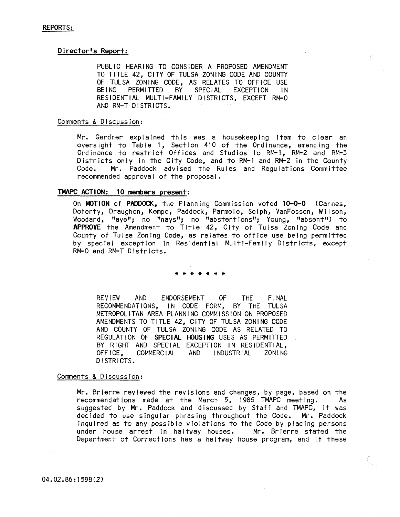## Director's Report:

PUBLIC HEARING TO CONSIDER A PROPOSED AMENDMENT TO TITLE 42, CITY OF TULSA ZONING CODE AND COUNTY OF TULSA ZONING CODE, AS RELATES TO OFFICE USE<br>BEING PERMITTED BY SPECIAL EXCEPTION IN BEING PERMITTED BY RESIDENTIAL MULTI-FAMILY DISTRICTS, EXCEPT RM-O AND RM-T DISTRICTS.

## Comments & Discussion:

Mr. Gardner explained this was a housekeeping item to clear an oversight to Table 1, Section 410 of the Ordinance, amending the Ordinance to restrict Offices and Studios to RM-l, RM-2 and RM-3 Districts only in the City Code, and to RM-1 and RM-2 in the County<br>Code. Mr. Paddock advised the Rules and Requiations Committee Mr. Paddock advised the Rules and Regulations Committee recommended approval of the proposal.

## TMAPC ACT ION: 10 members present:

On MOTION of PADDOCK, the Planning Commission voted 10-0-0 (Carnes, Doherty, Draughon, Kempe, Paddock, Parmele, Selph, VanFossen, Wilson, Woodard, "aye"; no "nays"; no "abstentions"; Young, "absent") to APPROVE the Amendment to Title 42, City of Tulsa Zoning Code and County of Tulsa Zoning Code, as relates to office use being permitted by special exception In Residential Multi-Family Districts, except RM-O and RM-T Districts.

### \* \* \* \* \* \* \*

REVIEW AND ENDORSEMENT OF THE FINAL RECOMMENDATIONS, IN CODE FORM, BY THE TULSA METROPOLITAN AREA PLANNING COMMISSION ON PROPOSED AMENDMENTS TO TITLE 42, CITY OF TULSA ZONING CODE AND COUNTY OF TULSA ZONING CODE AS RELATED TO REGULATION OF SPECIAL HOUSING USES AS PERMITTED BY RIGHT AND SPECIAL EXCEPTION IN RESIDENTIAL,<br>OFFICE. COMMERCIAL AND INDUSTRIAL ZONING COMMERCIAL AND INDUSTRIAL ZONING DISTRICTS.

## Comments & Discussion:

Mr. Brlerre reviewed the revisions and changes, by page, based on the recommendations made at the March 5, 1986 TMAPC meeting. As suggested by Mr. Paddock and discussed by Staff and TMAPC, It was decided to use singular phrasing throughout the Code. Mr. Paddock Inquired as to any possible violations to the Code by placing persons under house arrest in halfway houses. Mr. Brierre stated the Department of Corrections has a halfway house program; and If these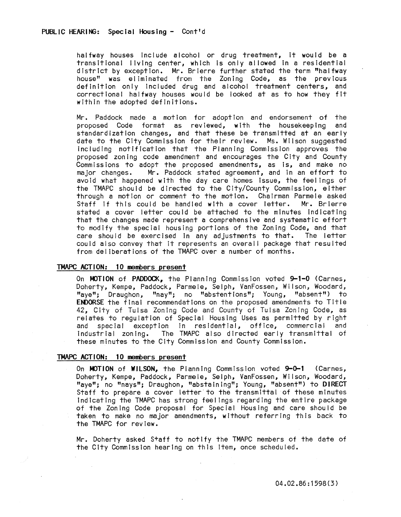halfway houses Include alcohol or drug treatment, It would be a transitional living center, which is only allowed In a residential district by exceptIon. Mr. Brlerre further stated the term "halfway house" was ei iminated from the Zoning Code, as the previous definition only Included drug and alcohol treatment centers, and correctional halfway houses would be looked at as to how they fit within the adopted definitions.

Mr. Paddock made a motion for adoption and endorsement of the proposed Code format as reviewed, with the housekeeping and standardization changes, and that these be transmitted at an early date to the City Commission for their review. Ms. Wilson suggested Including notification that the Planning Commission approves the proposed zoning code amendment and encourages the City and County Commissions to adopt the proposed amendments, as is, and make no major changes. Mr. Paddock stated agreement, and In an effort to avoid what happened with the day care homes Issue, the feelings of the TMAPC should be directed to the City/County Commission, either through a motion or comment to the motion. Chairman Parmele asked<br>Staff if this could be handled with a cover letter. Mr. Brierre Staff if this could be handled with a cover letter. stated a cover letter could be attached to the minutes indicating that the changes made represent a comprehensive and systematic effort to modify the special housing portions of the Zoning Code, and that care should be exercised in any adjustments to that. The letter could also convey that It represents an overall package that resulted from deliberations of the TMAPC over a number of months.

## TMAPC ACTION: 10 members present

On MOTION of PADDOCK, the Planning Commission voted 9-1-0 (Carnes, Doherty, Kempe, Paddock, Parmele, Selph, VanFossen; Wilson, Woodard, "aye"; Draughon, "nay"; no "abstentions"; Young, "absent") to ENDORSE the final recommendations on the proposed amendments to Title 42, City of Tulsa Zoning Code and County of Tulsa Zoning Code, as relates to regulation of Special Housing Uses as permitted by right and special exception in residential, office, commercial and industrial zoning. The TMAPC also directed early transmittal of these minutes to the City Commission and County CommIssIon.

### TMAPC ACTION: 10 members present

On MOTION of WILSON, the Planning Commission voted 9-0-1 (Carnes, Doherty, Kempe, Paddock, Parmele, Selph, VanFossen, Wilson, Woodard, "aye"; no "nays"; Draughon, "abstaIning"; Young, "absent") to DIRECT Staff to prepare a cover letter to the transmittal of these minutes Indicating the TMAPC has strong feelings regarding the entire package of the Zoning Code proposal for Special Housing and care should be taken to make no major amendments, without referring this back to the TMAPC for review.

Mr. Doherty asked Staff to notify the TMAPC members of the date of the CIty CommissIon hearing on this Item, once scheduled.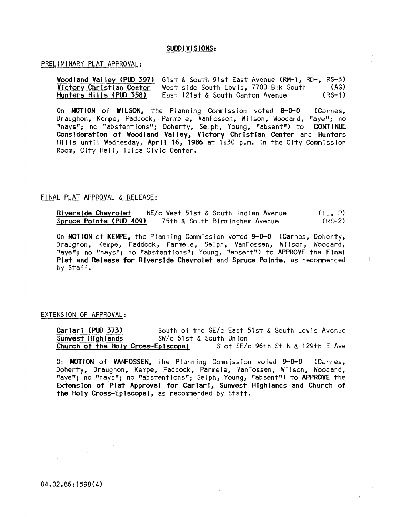## SUBDIVISIONS:

### PRELIMINARY PLAT APPROVAL:

Woodland Valley (PUD 397) 61st & South 91st East Avenue (RM-1, RD-, RS-3)<br>Victory Christian Center West side South Lewis, 7700 Blk South (AG) Victory Christian Center<br>
West side South Lewis, 7700 Blk South (AG)<br>
East 121st & South Canton Avenue (RS-1) East 121st & South Canton Avenue

On MOTION of WILSON, the Planning Commission voted 8-0-0 (Carnes, Draughon, Kempe, Paddock, Parmele, VanFossen, Wilson, Woodard, "aye"; no "nays"; no "abstentions"; Doherty, Selph, Young, "absent") to CONTINUE Consideration of Woodland Valley, Victory Christian Center and Hunters Hills until Wednesday, April 16, 1986 at 1:30 p.m. In the City Commission Room, City Hall, Tulsa Civic Center.

### FINAL PLAT APPROVAL & RELEASE:

Riverside Chevrolet NE/c West 51st & South Indian Avenue<br>Spruce Pointe (PUD 409) 75th & South Birmingham Avenue 75th & South Birmingham Avenue  $( |L, P)$  $(RS-2)$ 

On MOTION of KEMPE, the Planning Commission voted 9-0-0 (Carnes, Doherty, Draughon, Kempe, Paddock, Parmele, Selph, VanFossen, Wilson, Woodard, "aye"; no "nays"; no "abstentions"; Young, "absent") to APPROVE the Final Plat and Release for Riverside Chevrolet and Spruce POinte, as recommended by Staff.

## EXTENSION OF APPROVAL:

Carlari (PUD 373) South of the SE/c East 51st & South Lewis Avenue<br>Sunwest Highlands SW/c 61st & South Union SW/c 61st & South Union<br>Coiscopal S of SE/c 96th St N & 129th E Ave Church of the Holy Cross-Episcopal

On MOTION of VANFOSSEN, the Planning Commission voted 9-0-0 (Carnes, Doherty, Draughon, Kempe, Paddock, Parmele, VanFossen, Wilson, Woodard, "aye"; no "nays"; no "abstentions"; Selph, Young, "absent") to APPROVE the Extension of Plat Approval for Cariarl, Sunwest Highlands and Church of the Holy Cross-Episcopal, as recommended by Staff.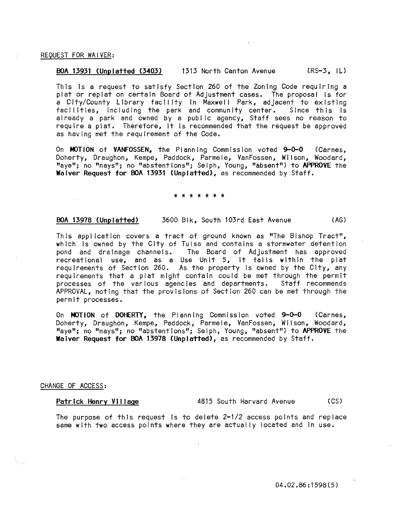### REQUEST FOR WAIVER:

### BOA 13931 (Unplatted (3403) 1313 North Canton Avenue (RS-3, IU

This is a request to satisfy Section 260 of the Zoning Code requiring a plat or replat on certain Board of Adjustment cases. The proposal is for a City/County Library facility in Maxwell Park, adjacent to existing facilities, including the park and community center. Since this is already a park and owned by a public agency, Staff sees no reason to require a plat. Therefore, It Is recommended that the request be approved as having met the requirement of the Code.

On MOTION of VANFOSSEN, the Planning Commission voted 9-0-0 (Carnes, Doherty, Draughon, Kempe, Paddock, Parmele, VanFossen, Wilson, Woodard, "aye"; no "nays"; no "abstentions"; Selph, Young, "absent") to APPROVE the Waiver Request for BOA 13931 (Unplatted), as recommended by Staff.

### \* \* \* \* \* \* \*

### BOA 13918 (Unplatted) 3600 Blk, South 103rd East Avenue (AG)

This application covers a tract of ground known as "The Bishop Tract", which Is owned by the City of Tulsa and contains a stormwater detention pond and drainage channels. The Board of Adjustment has approved recreational use, and as a Use Unit 5, it falls within the plat requirements of Section 260. As the property Is owned by the City, any requirements that a plat might contain could be met through the permit processes of the various agencies and departments. Staff recommends APPROVAL, noting that the provisions of Section 260 can be met through the permit processes.

On MOTION of DOHERTY, the Planning Commission voted 9-0-0 (Carnes, Doherty, Draughon, Kempe, Paddock, Parmele, VanFossen, Wilson, Woodard, "aye"; no "nays"; no "abstentions"; Selph, Young, "absent") to APPROVE the Waiver Request for BOA 13918 (Unplatted), as recommended by Staff.

## CHANGE OF ACCESS:

Patrick Henry Village 4815 South Harvard Avenue (CS)

The purpose of this request Is to delete 2-1/2 access points and replace same with two access points where they are actually located and in use.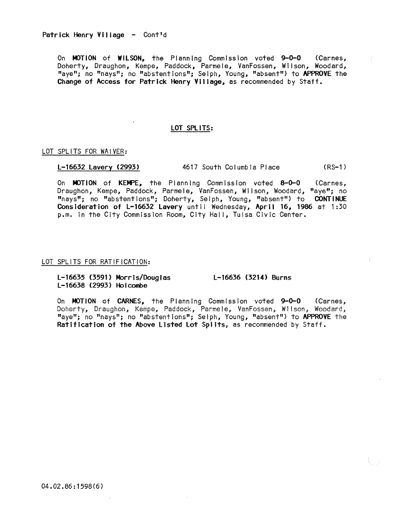On MOTION of WILSON, the Planning Commission voted 9-0-0 (Carnes, Doherty, Draughon, Kempe, Paddock, Parmele, VanFossen, Wilson, Woodard, "aye"; no "nays"; no "abstentions"; Selph, Young, "absent") to APPROVE the Change of Access for Patrick Henry Village, as recommended by Staff.

## LOT SPliTS:

### LOT SPLITS FOR WAIVER:

L-t6632 Lavery (2993) 4617 South Columbia Place (RS-l )

On MOTION of KEMPE, the Planning Commission voted 8-0-0 (Carnes, Draughon, Kempe, Paddock, Parmele, VanFossen, Wilson, Woodard, "aye"; no "nays"; no "abstentions"; Doherty, Selph, Young, "absent") to CONTINUE Consideration of L-16632 Lavery until Wednesday, April 16, 1986 at 1:30 p.m. in the City Commission Room, City Hall, Tulsa Civic Center.

### LOT SPLITS FOR RATIFICATION:

L-16635 (3591) Morris/Douglas L-16638 (2993) Holcombe L-16636 (3214) Burns

On MOTION of CARNES, the Planning Commission voted 9-0-0 (Carnes, Doherty, Draughon, Kempe, Paddock, Parmele, VanFossen, Wilson, Woodard, "aye"; no "nays"; no "abstentions"; Selph, Young, "absent") to APPROVE the Ratification of the Above Listed Lot Splits, as recommended by Staff.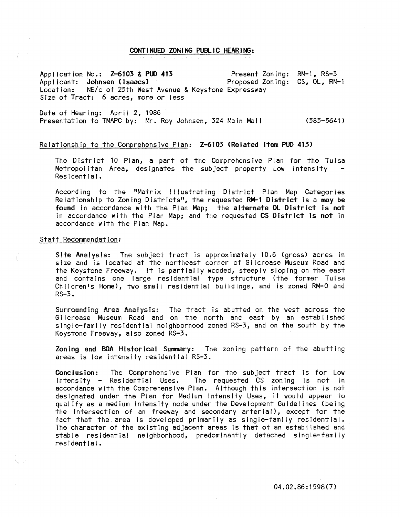### CONY I NUED ZON I NG PUBlI C HEAR I NG:

Application No.: Z-6103 & PUO 413 Applicant: **Johnsen (Isaacs)**<br>Location: NE/c of 25th West Location: NE/c of 25th West Avenue & Keystone Expressway Size of Tract: 6 acres, more or less Present Zoning: RM-l, RS-3 Proposed Zoning: CS, Ol, RM-l

Date of Hearing: April 2, 1986 Presentation to TMAPC by: Mr. Roy Johnsen, 324 Main Mal I (585-5641)

# Relationship to the Comprehensive Plan: Z-6103 (Related item PUD 413)

The District 10 Plan, a part of the Comprehensive Plan for the Tulsa Metropolitan Area, designates the subject property Low Intensity Residential.

According to the "Matrix Illustrating District Plan Map Categories Relationship to Zoning Districts", the requested RM-l District Is a may be found in accordance with the Plan Map; the alternate OL District is not In accordance with the Plan Map; and the requested CS District is not in accordance with the Plan Map.

### Staff Recommendation:

Site Analysis: The subject tract is approximately 10.6 (gross) acres in size and is located at the northeast corner of Gilcrease Museum Road and the Keystone Freeway. It Is partially wooded, steeply sloping on the east and contains one large residential type structure (the former Tulsa Children's Home), two small residential buildings, and is zoned RM-0 and RS-3.

Surrounding Area Analysis: The tract Is abutted on the west across the Gilcrease Museum Road and on the north and east by an established single-family resldentlal neighborhood zoned RS-3; and on the south by the Keystone Freeway, also zoned RS-3.

Zoning and BOA Historical Summary: The zoning pattern of the abutting areas Is low Intensity residential RS-3.

Conclusion: The Comprehensive Plan for the subject tract Is for Low Intensity - Residential Uses. The requested CS zoning Is not In accordance with the Comprehensive Plan. Although this Intersection Is not designated under the Plan for Medium Intensity Uses, It would appear to qualify as a medium intensity node under the Development Guidelines (being the intersection of an freeway and secondary arterial), except for the fact that the area is developed primarily as single-family residential. The character of the existing adjacent areas Is that of an established and stable residential neighborhood, predominantly detached single-family residential.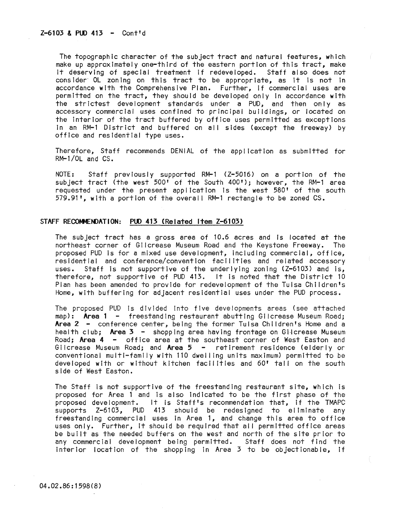The topographic character of the subject tract and natural features, which make up approximately one-third of the eastern portion of this tract, make It deserving of special treatment If redeveloped. Staff also does not consider OL zoning on this tract to be appropriate, as it is not in accordance with the Comprehensive Plan. Further, If commercial uses are permitted on the tract, they should be developed only In accordance wIth the strictest development standards under a PUD; and then only as accessory commercial uses confined to principal buildings, or located on the Interior of the tract buffered by office uses permitted as exceptions In an RM-l District and buffered on all sides (except the freeway) by office and residential type uses.

Therefore, Staff recommends DENIAL of the application as submitted for RM-l/0L and CS.

NOTE: Staff previously supported RM-l (Z-5016) on a portion of the subject tract (the west 500' of the South 400'); however, the RM-1 area requested under the present application Is the west 580' of the south 579.91', with a portion of the overall RM-1 rectangle to be zoned  $CS$ .

## STAFF RECOMMENDATION: PUD 413 (Related Item Z-6103)

The subject tract has a gross area of 10.6 acres and Is located at the northeast corner of Gilcrease Museum Road and the Keystone Freeway. The proposed PUD is for a mixed use development, including commercial, office, residential and conference/conventIon facilIties and related accessory uses. Staff is not supportive of the underlying zoning (Z-6103) and is, therefore, not supportive of PUD 413. It Is noted that the District 10 Plan has been amended to provide for redevelopment of the Tulsa Children's Home, with buffering for adjacent residential uses under the PUD process.

The proposed PUD is divided into five developments areas (see attached map): **Area 1 -** freestanding restaurant abutting Gilcrease Museum Road; Area  $2 -$  conference center, being the former Tulsa Children's Home and a health club; Area  $3 -$  shopping area having frontage on Gilcrease Museum Road; Area 4 - office area at the southeast corner of West Easton and Gilcrease Museum Road; and Area  $5 -$  retirement residence (elderly or conventional multi-family with 110 dwei ling units maximum) permitted to be developed with or without kitchen facilities and 60' tall on the south side of West Easton.

The Staff Is not supportive of the freestanding restaurant site, which Is proposed for Area 1 and is also indicated to be the first phase of the proposed development. It is Staff's recommendation that, If the TMAPC supports Z-6103, PUD 413 should be redesigned to eliminate any freestanding commercial uses in Area 1, and change this area to office uses only. Further, it should be required that all permitted office areas be built as the needed buffers on the west and north of the site prior to any commercial development being permitted. Staff does not find the Interior location of the shopping In Area 3 to be objectionable, If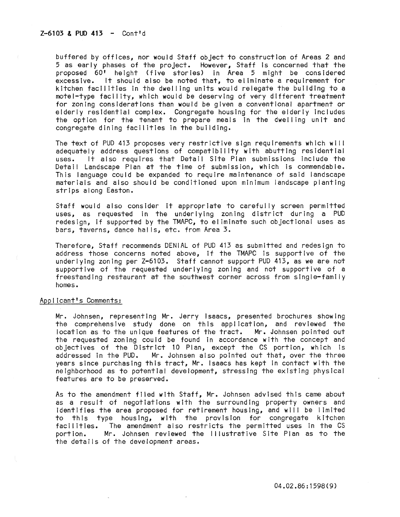buffered by offices, nor would Staff object to construction of Areas 2 and 5 as early phases of the project. However, Staff Is concerned that the proposed 60' heIght (five stories) In Area 5 might be considered excessive. It should also be noted that, to eliminate a requirement for kitchen facilities In the dwel ling units would relegate the building to a motel-type facti Ity, which would be deserving of very different treatment for zoning considerations than would be given a conventional apartment or elderly residential complex. Congregate housing for the elderly Includes the option for the tenant to prepare meals in the dwelling unit and congregate dining facilities In the building.

The text of PUD 413 proposes very restrictive sign requirements which wi I I adequately address questions of compatibility with abutting residential uses. It also requires that Detail Site Plan submissions Include the Detail Landscape Plan at the time of submission, which is commendable. This language could be expanded to require maintenance of said landscape materials and also should be conditioned upon minimum landscape planting strips along Easton.

Staff would also consider It appropriate to carefully screen permitted uses, as requested In the underlying zoning district during a PUD redesign, If supported by the TMAPC, to el imlnate such objectional uses as bars, taverns, dance hal Is; etc. from Area 3.

Therefore, Staff recommends DENIAL of PUD 413 as submitted and redesign to address those concerns noted above, If the TMAPC is supportive of the underlying zoning per Z-6103. Staff cannot support PUD 413, as we are not supportive of the requested underlying zoning and not supportive of a freestanding restaurant at the southwest corner across from single-family homes.

### ApDI Icant's Comments:

Mr. Johnsen, representing Mr. Jerry Isaacs, presented brochures showing the comprehensive study done on this application, and reviewed the location as to the unique features of the tract. Mr. Johnsen pointed out the requested zoning could be found in accordance with the concept and objectives of the District 10 Plan, except the CS portion, which is addressed In the PUD. Mr. Johnsen also poInted out that, over the three years since purchasing this tract, Mr. Isaacs has kept In contact with the neighborhood as to potential development, stressing the existing physical features are to be preserved.

As to the amendment filed with Staff, Mr. Johnsen advised this came about as a result of negotiations with the surrounding property owners and identifies the area proposed for retirement housing, and will be limited to this type housing, with the provision for congregate kitchen facilities. The amendment also restricts the permitted uses in the CS<br>portion. Mr. Johnsen reviewed the lllustrative Site Plan as to the Mr. Johnsen reviewed the Illustrative Site Plan as to the the detaIls of the development areas.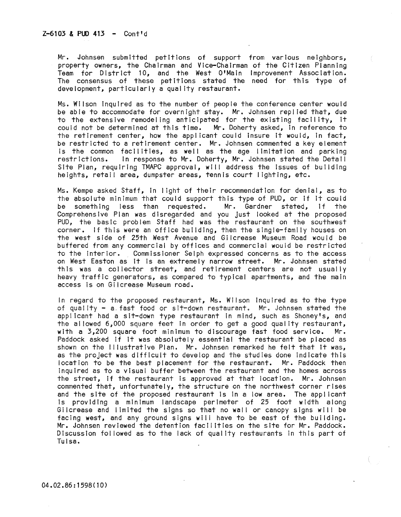Mr. Johnsen submitted petitions of support from various neighbors, property owners, the Chairman and Vice-Chairman of the Citizen Planning Team for District 10, and the West O'Maln Improvement Association. The consensus of these petitions stated the need for this type of development, particularly a qual ity restaurant.

Ms. Wilson inquired as to the number of people the conference center would be able to accommodate for overnight stay. Mr. Johnsen replied that, due to the extensive remodel ing anticipated for the existing facility, It could not be determined at this time. Mr. Doherty asked, in reference to the retirement center, how the applicant could Insure It would, In fact, be restricted to a retirement center. Mr. Johnsen commented a key element Is the common facilities, as well as the age limitation and parking<br>restrictions. In response to Mr. Doherty, Mr. Johnsen stated the Detail In response to Mr. Doherty, Mr. Johnsen stated the Detail Site Plan, requiring TMAPC approval, will address the Issues of building heights, retail area, dumpster areas, tennis court lighting, etc.

Ms. Kempe asked Staff, In light of their recommendation for denial, as to the absolute minimum that could support this type of PUD, or if it could<br>be something less than requested. Mr. Gardner stated, if the be something less than requested. Comprehensive Plan was disregarded and you Just looked at the proposed PUD, the basic problem Staff had was the restaurant on the southwest corner. if this were an office building, then the slngle~famlly houses on the west side of 25th West Avenue and Gilcrease Museum Road would be buffered from any commerclai by offices and commercial would be restricted to the interior. Commissioner Selph expressed concerns as to the access on West Easton as It is an extremely narrow street. Mr. Johnsen stated this was a collector street, and retirement centers are not usually heavy traffic generators, as compared to typIcal apartments, and the main access is on Gilcrease Museum road.

In regard to the proposed restaurant, Ms. Wilson Inquired as to the type of quality - a fast food or sit-down restaurant. Mr. Johnsen stated the applicant had a sit-down type restaurant in mind, such as Shoney's, and the allowed 6,000 square feet in order to get a good quality restaurant,<br>with a 3.200 square foot minimum to discourage fast food service. Mr. with a  $3,200$  square foot minimum to discourage fast food service. Paddock asked if It was absolutely essential the restaurant be placed as shown on the Illustrative Plan. Mr. Johnsen remarked he felt that it was, as the project was difficult to develop and the studies done Indicate this location to be the best placement for the restaurant. Mr. Paddock then Inquired as to a visual buffer between the restaurant and the homes across the street, If the restaurant is approved at that location. Mr. Johnsen commented that, unfortunately, the structure on the northwest corner rises and the site of the proposed restaurant is In a low area. The appl icant Is providing a minimum landscape perimeter of 25 foot width along Gilcrease and limited the signs so that no wall or canopy signs will be facing west, and any ground signs will have to be east of the building. Mr. Johnsen reviewed the detention facilities on the site for Mr. Paddock. Discussion followed as to the lack of quality restaurants in this part of Tulsa.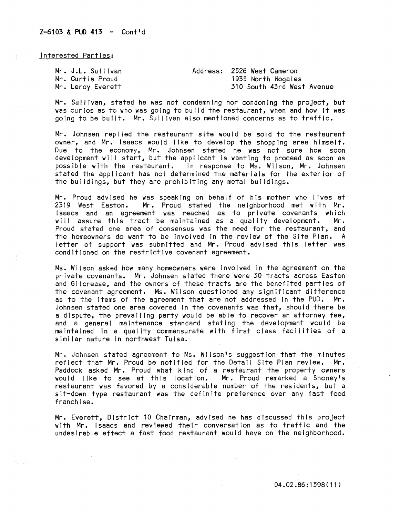Interested Parties:

| Mr. J.L. Sullivan | Address: 2526 West Cameron |
|-------------------|----------------------------|
| Mr. Curtis Proud  | 1935 North Nogales         |
| Mr. Leroy Everett | 310 South 43rd West Avenue |

Mr. Sullivan, stated he was not condemning nor condoning the project, but was curios as to who was going to build the restaurant, when and how it was going to be built. Mr. Sui I Ivan also mentioned concerns as to traffic.

Mr. Johnsen replied the restaurant site would be sold to the restaurant owner, and Mr. Isaacs would like to develop the shopping area himself. Due to the economy, Mr. Johnsen stated he was not sure how soon development will start, but the applicant is wanting to proceed as soon as possible with the restaurant. In response to Ms. Wilson, Mr. Johnsen stated the applicant has not determined the materials for the exterior of the buildings, but they are prohibiting any metal buildings.

Mr. Proud advised he was speaking on behalf of his mother who lives at 2319 West Easton. Mr. Proud stated the neighborhood met with Mr. Isaacs and an agreement was reached as to private covenants which will assure this tract be maintained as a quality development. Mr. Proud stated one area of consensus was the need for the restaurant, and the homeowners do want to be Involved In the review of the Site Plan. A letter of support was submitted and Mr. Proud advised this letter was conditioned on the restrictive covenant agreement.

Ms. Wilson asked how many homeowners were Involved In the agreement on the private covenants. Mr. Johnsen stated there were 30 tracts across Easton and Gilcrease, and the owners of these tracts are the benefited parties of the covenant agreement. Ms. Wilson questioned any significant difference as to the Items of the agreement that are not addressed In the PUD. Mr. Johnsen stated one area covered In the covenants was that, should there be a dispute, the prevailing party would be able to recover an attorney fee, and a general maintenance standard stating the development would be maintained In a quality commensurate with first class facll itles of a simi lar nature In northwest Tulsa.

Mr. Johnsen stated agreement to Ms. Wilson's suggestion that the minutes reflect that Mr. Proud be notified for the Detail Site Plan review. Mr. Paddock asked Mr. Proud what kind of a restaurant the property owners would like to see at this location. Mr. Proud remarked a Shoney's restaurant was favored by a considerable number of the residents, but a sit-down type restaurant was the definite preference over any fast food franchise.

Mr. Everett, District 10 Chairman, advised he has discussed this project with Mr. Isaacs and reviewed their conversation as to traffic and the undesirable effect a fast food restaurant would have on the neighborhood.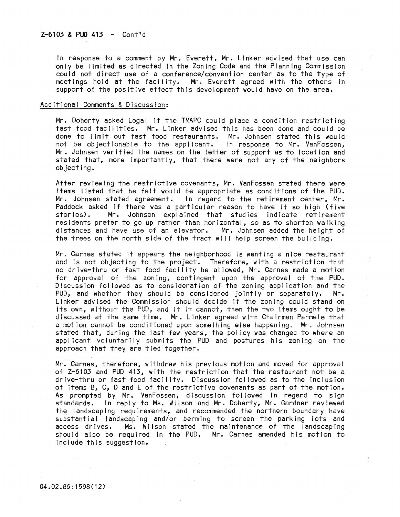In response to a comment by Mr. Everett, Mr. Linker advised that use can only be limited as directed In the Zoning Code and the Planning Commission could not direct use of a conference/convention center as to the type of meetings held at the facility. Mr. Everett agreed with the others in support of the positive effect this development would have on the area.

## AddItional Comments & Discussion:

Mr. Doherty asked Legal If the TMAPC could place a condition restricting fast food facilities. Mr. Linker advised this has been done and could be done to limit out fast food restaurants. Mr. Johnsen stated this would not be objectionable to the appl icant. In response to Mr. VanFossen, Mr. Johnsen verified the names on the letter of support as to location and stated that, more Importantly, that there were not any of the neighbors objecting.

After reviewing the restrictive covenants, Mr. VanFossen stated there were items listed that he felt would be appropriate as conditions of the PUD. Mr. Johnsen stated agreement. In regard to the retirement center, Mr. Paddock asked if there was a particular reason to have it so high (five stories). Mr. Johnsen explained that studies indicate retirement Mr. Johnsen explained that studies indicate retirement residents prefer to go up rather than horizontal, so as to shorten walking distances and have use of an elevator. Mr. Johnsen added the heIght of the trees on the north side of the tract will help screen the building.

Mr. Carnes stated it appears the neighborhood Is wanting a nice restaurant and is not objecting to the project. Therefore, with a restriction that no drive-thru or fast food facility be allowed, Mr. Carnes made a motion for approval of the zoning, contingent upon the approval of the PUD. Discussion followed as to consideration of the zoning application and the PUD, and whether they should be considered jointly or separately. Mr. Linker advised the Commission should decide If the zoning could stand on Its own, without the PUD, and If It cannot, then the two Items ought to be discussed at the same tIme. Mr. Linker agreed with Chairman Parmele that a motion cannot be conditioned upon something else happening. Mr. Johnsen stated that, during the last few years, the pol Icy was changed to where an applicant voluntarily submits the PUD and postures his zoning on the approach that they are tied together.

Mr. Carnes, therefore, withdrew hIs previous motion and moved for approval of Z-6103 and PUD 413, with the restriction that the restaurant not be a drlve-thru or fast food facility. DiscussIon fol lowed as to the Inclusion of Items B, C, D and E of the restrictive covenants as part of the motion. As prompted by Mr. VanFossen, discussion fol lowed In regard to sign standards. In reply to Ms. Wilson and Mr. Doherty, Mr. Gardner reviewed the landscaping requirements, and recommended the northern boundary have substantial landscaping and/or berming to screen the parking lots and access drives. Ms. Wilson stated the maintenance of the landscaping should also be required in the PUD. Mr. Carnes amended his motion to Include this suggestion.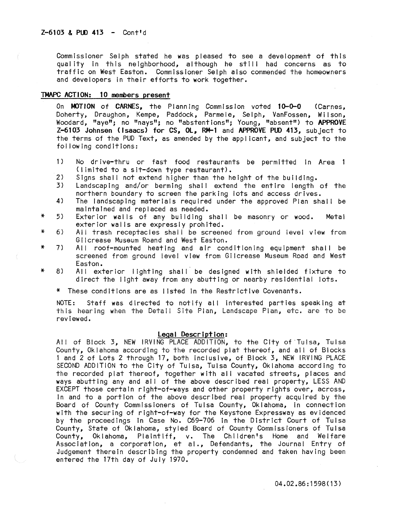Commissioner Selph stated he was pleased to see a development of this quality in this neighborhood, although he still had concerns as to traffic on West Easton. Commissioner Selph also commended the homeowners and developers in their efforts to work together.

## TMAPC ACTION: 10 members present

On MOTION of CARNES, the Planning Commission voted 10-0-0 (Carnes, Doherty, Draughon, Kempe, Paddock, Parmele, Selph, VanFossen, Wilson, Woodard, "aye"; no "nays"; no "abstentions"; Young, "absent") to APPROVE Z-6103 Johnsen (Isaacs) for CS, OL, **RM-1** and APPROVE PUO 413, subject to the terms of the PUD Text, as amended by the applicant, and subject to the fol lowing conditions:

- $1)$ No drive-thru or fast food restaurants be permitted in Area 1 (limited to a sit-down type restaurant).
- 2) Signs shall not extend higher than the height of the building.
- 3) Landscaping and/or berming shall extend the entire length of the northern boundary to screen the parking lots and access drives.
- 4) The landscaping materials required under the approved Plan shall be maintained and replaced as needed.
- \* 5) Exterior walls of any building shall be masonry or wood. Metal exterior walls are expressly prohited.
- \* 6) All trash receptacles shall be screened from ground level view from Gilcrease Museum Roand and West Easton.
- \* 7) All roof-mounted heating and air conditioning equIpment shall be screened from ground level view from Gilcrease Museum Road and West Easton.
- \* 8) All exterior lighting shall be designed with shielded fixture to direct the light away from any abutting or nearby residential lots.
	- \* These conditions are as listed In the Restrictive Covenants.

NOTE: Staff was directed to notify all interested parties speaking at this hearing when the Detail Site Plan, Landscape Plan, etc. are to be reviewed.

### Legal Description:

All of Block 3, NEW IRVING PLACE ADDITION, to the City of Tulsa, Tulsa County, Oklahoma according to the recorded plat thereof, and all of Blocks 1 and 2 of Lots 2 through 17, both Inclusive, of Block 3, NEW IRVING PLACE SECOND ADDITION to the City of Tulsa, Tulsa County, Oklahoma according to the recorded plat thereof, together with all vacated streets, places and ways abutting any and all of the above described real property, LESS AND EXCEPT those certain right-of-ways and other property rights over, across, In and to a portion of the above described real property acquired by the Board of County Commissioners of Tulsa County, Oklahoma, in connection with the securing of right-of-way for the Keystone Expressway as evidenced by the proceedings In Case No. C69-706 In the District Court of Tulsa County, State of Oklahoma, styled Board of County Commissioners of Tulsa County, Oklahoma, Plaintiff, v. The Children's Home and Welfare Association, a corporation, et al., Defendants, the Journal Entry of Judgement therein describing the property condemned and taken having been entered the 17th day of July 1970.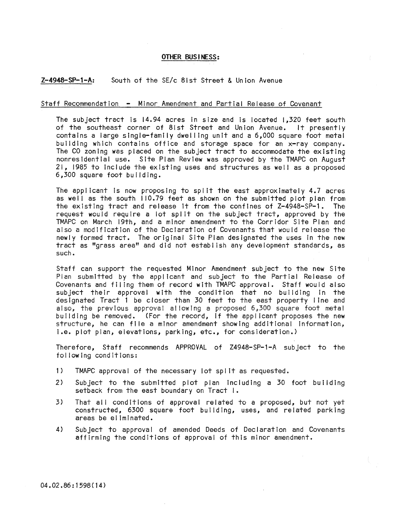### OTHER BUS I NESS:

## Z-4948-SP-l-A: South of the SE/c 81st Street & Union Avenue

### Staff Recommendation - Minor Amendment and Partial Release of Covenant

The subject tract is 14.94 acres in size and is located 1,320 feet south of the southeast corner of 81st Street and Union Avenue. It presently contains a large single-family dwel ling unit and a 6,000 square foot metal building which contains office and storage space for an x-ray company. The CO zoning was placed on the subject tract to accommodate the existing nonresidential use. Site Plan Review was approved by the TMAPC on August 21, 1985 to include the existing uses and structures as well as a proposed 6,300 square foot building.

The applicant is now proposing to split the east approximately 4.7 acres as well as the south 110.79 feet as shown on the submitted plot plan from the existing tract and release it from the confines of Z-4948-SP-1. The request would require a lot split on the subject tract, approved by the TMAPC on March 19th, and a minor amendment to the Corridor Site Plan and also a modification of the Declaration of Covenants that would release the newly formed tract. The original Site Plan designated the uses In the new tract as "grass area" and did not establ Ish any development standards, as such.

Staff can support the requested Minor Amendment subject to the new Site Plan submitted by the applicant and subject to the Partial Release of Covenants and filing them of record with TMAPC approval. Staff would also subject their approval with the condition that no building In the designated Tract 1 be closer than 30 feet to the east property I ine and also; the previous approval a! lowing a proposed 6.300 square foot metal building be removed. (For the record, If the applicant proposes the new structure, he can file a minor amendment showing additional information, i.e. plot plan, elevations, parking, etc., for consideration.)

Therefore, Staff recommends APPROVAL of Z4948-SP-1-A subject to the following conditions:

- 1) TMAPC approval of the necessary lot spl It as requested.
- 2) Subject to the submitted plot plan Including a 30 foot building setback from the east boundary on Tract I.
- 3) That all conditions of approval related to a proposed, but not yet constructed, 6300 square foot building, uses, and related parking areas be el imlnated.
- 4) Subject to approval of amended Deeds of Declaration and Covenants affirming the conditions of approval of this minor amendment.

04.02.86:1598(14)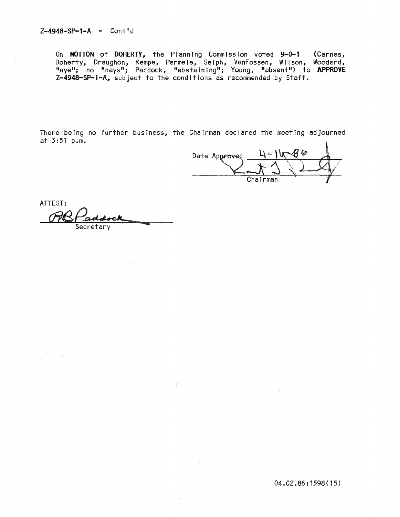On MOTION of DOHERTY, the Planning Commission voted 9-0-1 (Carnes, Doherty, Draughon, Kempe, Parmele, Selph, VanFossen, Wilson, Woodard, "aye"; no "nays"; Paddock, "abstaining"; Young, "absent") to APPROVE Z-4948-SP-i-A. subject to the conditions as recommended by Staff.

There being no further business, the Chairman declared the meeting adjourned at 3:51 p.m.

Date Approved

ATTEST: TVS addock